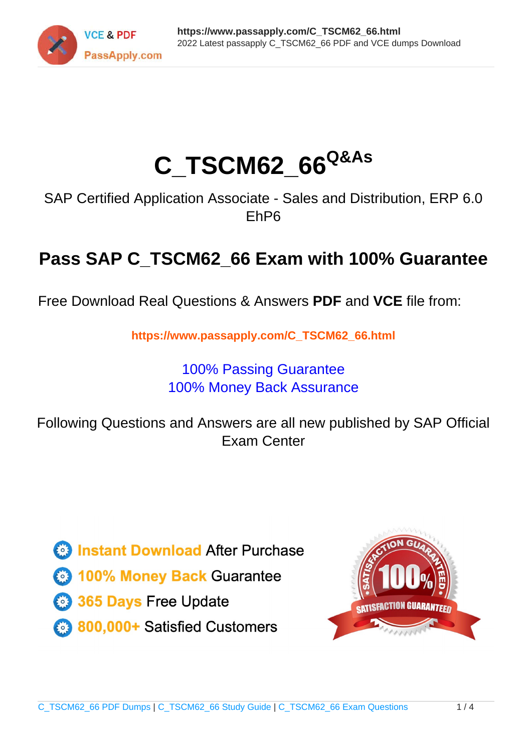

# **C\_TSCM62\_66Q&As**

SAP Certified Application Associate - Sales and Distribution, ERP 6.0 EhP6

## **Pass SAP C\_TSCM62\_66 Exam with 100% Guarantee**

Free Download Real Questions & Answers **PDF** and **VCE** file from:

**https://www.passapply.com/C\_TSCM62\_66.html**

### 100% Passing Guarantee 100% Money Back Assurance

Following Questions and Answers are all new published by SAP Official Exam Center

**Colonization** Download After Purchase

- **@ 100% Money Back Guarantee**
- **63 365 Days Free Update**
- 800,000+ Satisfied Customers

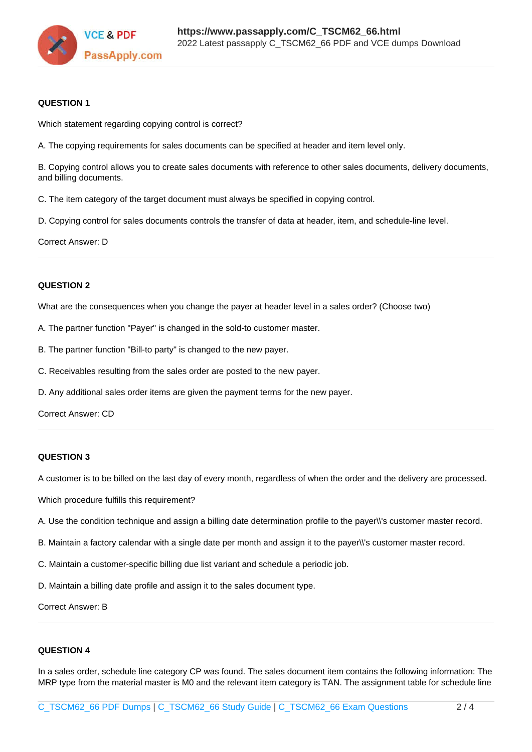

#### **QUESTION 1**

Which statement regarding copying control is correct?

A. The copying requirements for sales documents can be specified at header and item level only.

B. Copying control allows you to create sales documents with reference to other sales documents, delivery documents, and billing documents.

C. The item category of the target document must always be specified in copying control.

D. Copying control for sales documents controls the transfer of data at header, item, and schedule-line level.

Correct Answer: D

#### **QUESTION 2**

What are the consequences when you change the payer at header level in a sales order? (Choose two)

- A. The partner function "Payer" is changed in the sold-to customer master.
- B. The partner function "Bill-to party" is changed to the new payer.
- C. Receivables resulting from the sales order are posted to the new payer.
- D. Any additional sales order items are given the payment terms for the new payer.

Correct Answer: CD

#### **QUESTION 3**

A customer is to be billed on the last day of every month, regardless of when the order and the delivery are processed.

Which procedure fulfills this requirement?

- A. Use the condition technique and assign a billing date determination profile to the payer\\'s customer master record.
- B. Maintain a factory calendar with a single date per month and assign it to the payer\\'s customer master record.
- C. Maintain a customer-specific billing due list variant and schedule a periodic job.
- D. Maintain a billing date profile and assign it to the sales document type.

Correct Answer: B

#### **QUESTION 4**

In a sales order, schedule line category CP was found. The sales document item contains the following information: The MRP type from the material master is M0 and the relevant item category is TAN. The assignment table for schedule line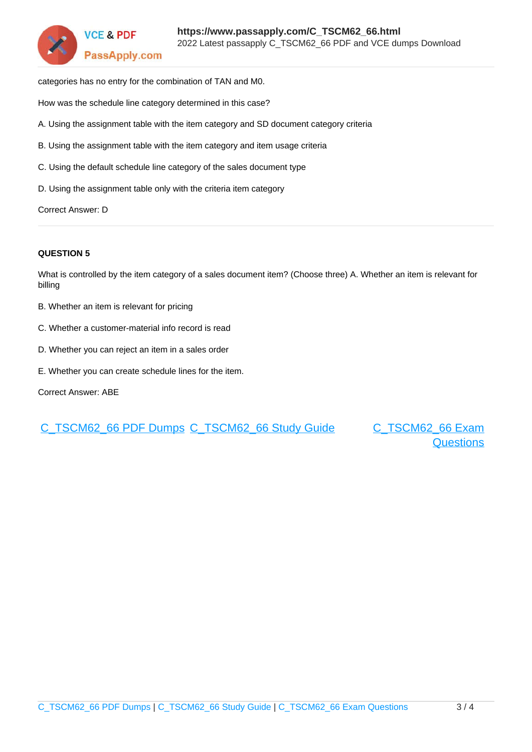

categories has no entry for the combination of TAN and M0.

How was the schedule line category determined in this case?

- A. Using the assignment table with the item category and SD document category criteria
- B. Using the assignment table with the item category and item usage criteria
- C. Using the default schedule line category of the sales document type
- D. Using the assignment table only with the criteria item category

Correct Answer: D

#### **QUESTION 5**

What is controlled by the item category of a sales document item? (Choose three) A. Whether an item is relevant for billing

- B. Whether an item is relevant for pricing
- C. Whether a customer-material info record is read
- D. Whether you can reject an item in a sales order
- E. Whether you can create schedule lines for the item.

Correct Answer: ABE

[C\\_TSCM62\\_66 PDF Dumps](https://www.passapply.com/C_TSCM62_66.html) [C\\_TSCM62\\_66 Study Guide](https://www.passapply.com/C_TSCM62_66.html) [C\\_TSCM62\\_66 Exam](https://www.passapply.com/C_TSCM62_66.html)

**[Questions](https://www.passapply.com/C_TSCM62_66.html)**